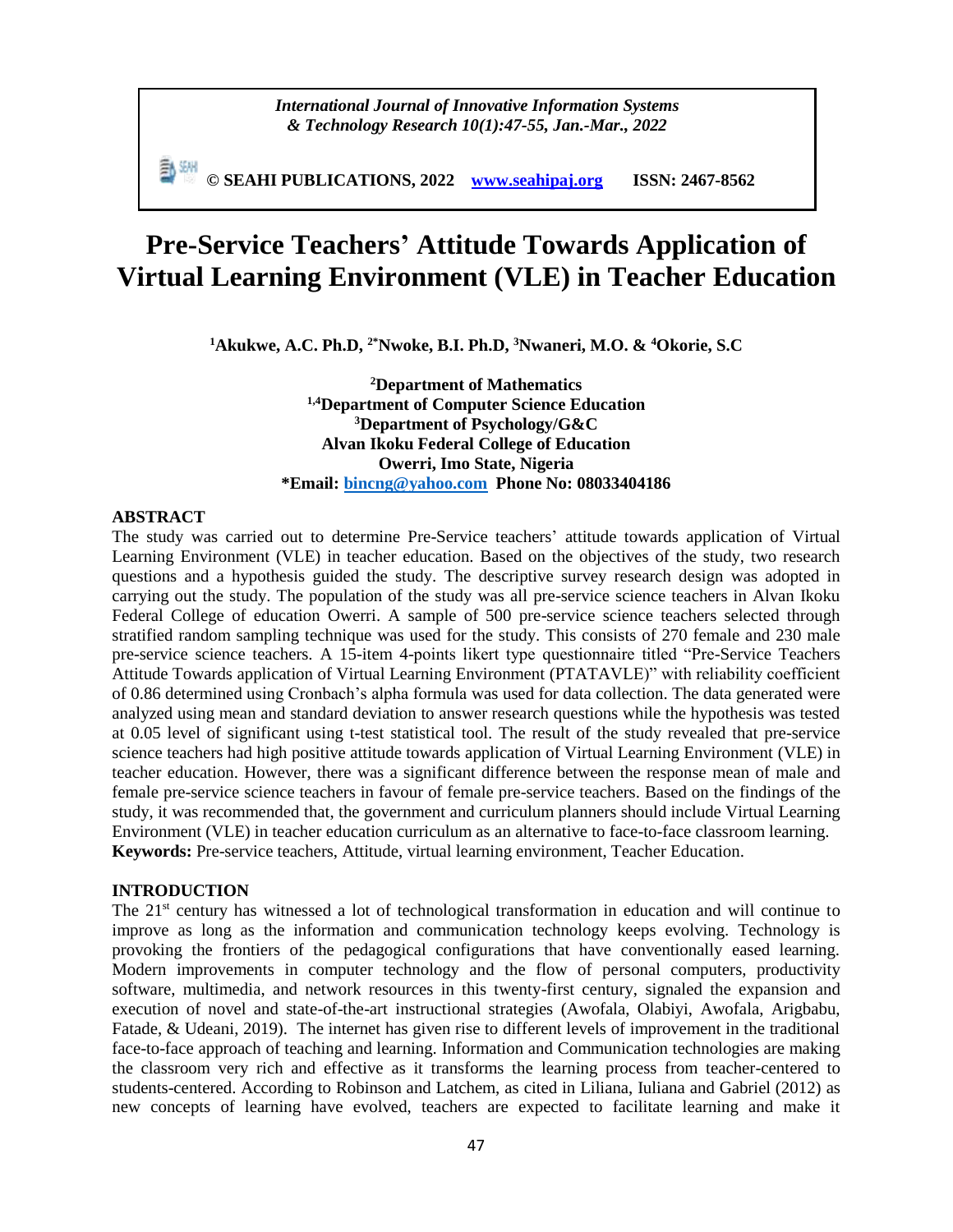*International Journal of Innovative Information Systems & Technology Research 10(1):47-55, Jan.-Mar., 2022*

**© SEAHI PUBLICATIONS, 2022 [www.seahipaj.org](http://www.seahipaj.org/) ISSN: 2467-8562**

# **Pre-Service Teachers' Attitude Towards Application of Virtual Learning Environment (VLE) in Teacher Education**

**<sup>1</sup>Akukwe, A.C. Ph.D, 2\*Nwoke, B.I. Ph.D, <sup>3</sup>Nwaneri, M.O. & <sup>4</sup>Okorie, S.C**

**<sup>2</sup>Department of Mathematics 1,4Department of Computer Science Education <sup>3</sup>Department of Psychology/G&C Alvan Ikoku Federal College of Education Owerri, Imo State, Nigeria \*Email: [bincng@yahoo.com](mailto:bincng@yahoo.com) Phone No: 08033404186**

#### **ABSTRACT**

The study was carried out to determine Pre-Service teachers' attitude towards application of Virtual Learning Environment (VLE) in teacher education. Based on the objectives of the study, two research questions and a hypothesis guided the study. The descriptive survey research design was adopted in carrying out the study. The population of the study was all pre-service science teachers in Alvan Ikoku Federal College of education Owerri. A sample of 500 pre-service science teachers selected through stratified random sampling technique was used for the study. This consists of 270 female and 230 male pre-service science teachers. A 15-item 4-points likert type questionnaire titled "Pre-Service Teachers Attitude Towards application of Virtual Learning Environment (PTATAVLE)" with reliability coefficient of 0.86 determined using Cronbach's alpha formula was used for data collection. The data generated were analyzed using mean and standard deviation to answer research questions while the hypothesis was tested at 0.05 level of significant using t-test statistical tool. The result of the study revealed that pre-service science teachers had high positive attitude towards application of Virtual Learning Environment (VLE) in teacher education. However, there was a significant difference between the response mean of male and female pre-service science teachers in favour of female pre-service teachers. Based on the findings of the study, it was recommended that, the government and curriculum planners should include Virtual Learning Environment (VLE) in teacher education curriculum as an alternative to face-to-face classroom learning. **Keywords:** Pre-service teachers, Attitude, virtual learning environment, Teacher Education.

#### **INTRODUCTION**

The 21<sup>st</sup> century has witnessed a lot of technological transformation in education and will continue to improve as long as the information and communication technology keeps evolving. Technology is provoking the frontiers of the pedagogical configurations that have conventionally eased learning. Modern improvements in computer technology and the flow of personal computers, productivity software, multimedia, and network resources in this twenty-first century, signaled the expansion and execution of novel and state-of-the-art instructional strategies (Awofala, Olabiyi, Awofala, Arigbabu, Fatade, & Udeani, 2019). The internet has given rise to different levels of improvement in the traditional face-to-face approach of teaching and learning. Information and Communication technologies are making the classroom very rich and effective as it transforms the learning process from teacher-centered to students-centered. According to Robinson and Latchem, as cited in Liliana, Iuliana and Gabriel (2012) as new concepts of learning have evolved, teachers are expected to facilitate learning and make it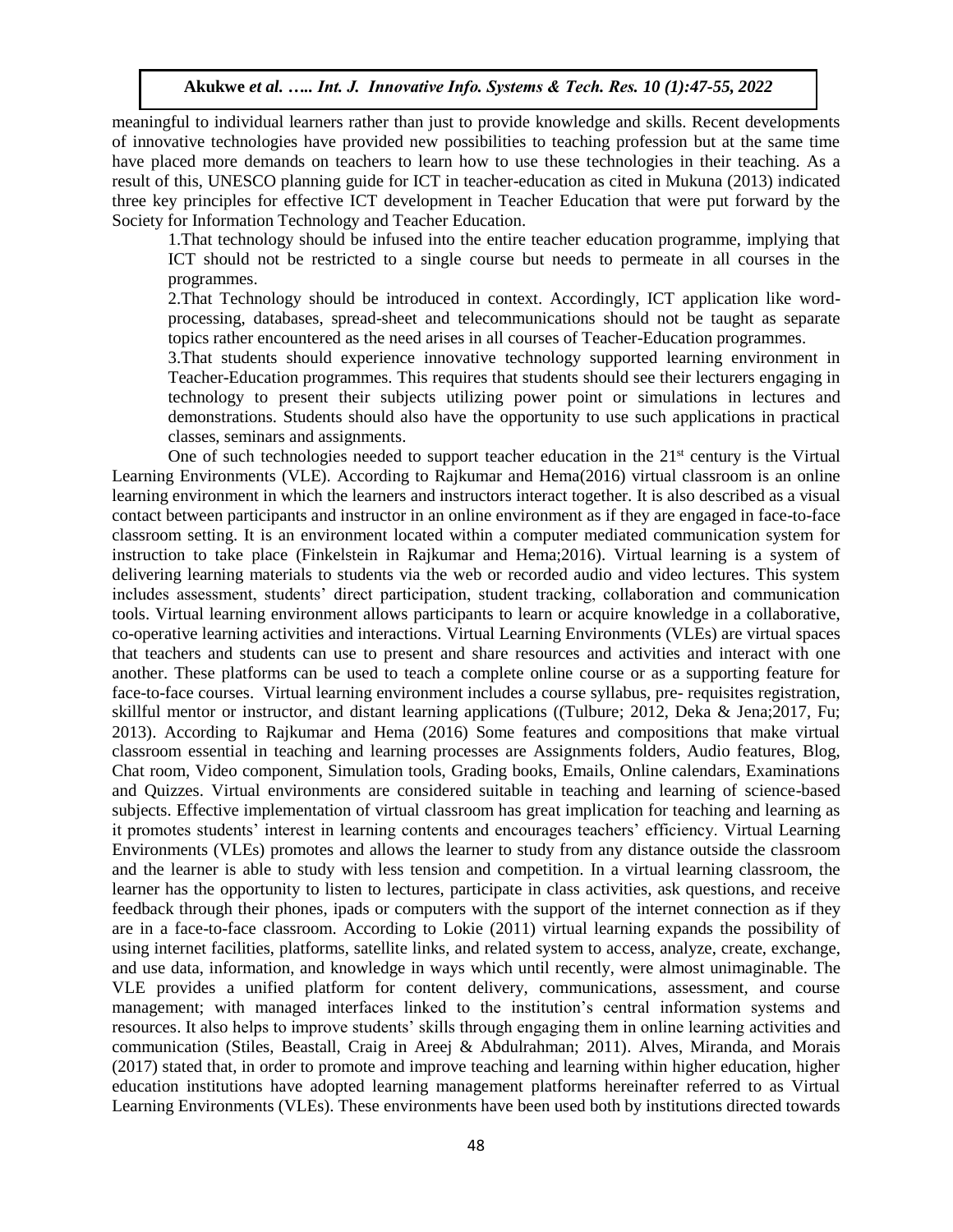meaningful to individual learners rather than just to provide knowledge and skills. Recent developments of innovative technologies have provided new possibilities to teaching profession but at the same time have placed more demands on teachers to learn how to use these technologies in their teaching. As a result of this, UNESCO planning guide for ICT in teacher-education as cited in Mukuna (2013) indicated three key principles for effective ICT development in Teacher Education that were put forward by the Society for Information Technology and Teacher Education.

1.That technology should be infused into the entire teacher education programme, implying that ICT should not be restricted to a single course but needs to permeate in all courses in the programmes.

2.That Technology should be introduced in context. Accordingly, ICT application like wordprocessing, databases, spread-sheet and telecommunications should not be taught as separate topics rather encountered as the need arises in all courses of Teacher-Education programmes.

3.That students should experience innovative technology supported learning environment in Teacher-Education programmes. This requires that students should see their lecturers engaging in technology to present their subjects utilizing power point or simulations in lectures and demonstrations. Students should also have the opportunity to use such applications in practical classes, seminars and assignments.

One of such technologies needed to support teacher education in the  $21<sup>st</sup>$  century is the Virtual Learning Environments (VLE). According to Rajkumar and Hema(2016) virtual classroom is an online learning environment in which the learners and instructors interact together. It is also described as a visual contact between participants and instructor in an online environment as if they are engaged in face-to-face classroom setting. It is an environment located within a computer mediated communication system for instruction to take place (Finkelstein in Rajkumar and Hema;2016). Virtual learning is a system of delivering learning materials to students via the web or recorded audio and video lectures. This system includes assessment, students' direct participation, student tracking, collaboration and communication tools. Virtual learning environment allows participants to learn or acquire knowledge in a collaborative, co-operative learning activities and interactions. Virtual Learning Environments (VLEs) are virtual spaces that teachers and students can use to present and share resources and activities and interact with one another. These platforms can be used to teach a complete online course or as a supporting feature for face-to-face courses. Virtual learning environment includes a course syllabus, pre- requisites registration, skillful mentor or instructor, and distant learning applications ((Tulbure; 2012, Deka & Jena;2017, Fu; 2013). According to Rajkumar and Hema (2016) Some features and compositions that make virtual classroom essential in teaching and learning processes are Assignments folders, Audio features, Blog, Chat room, Video component, Simulation tools, Grading books, Emails, Online calendars, Examinations and Quizzes. Virtual environments are considered suitable in teaching and learning of science-based subjects. Effective implementation of virtual classroom has great implication for teaching and learning as it promotes students' interest in learning contents and encourages teachers' efficiency. Virtual Learning Environments (VLEs) promotes and allows the learner to study from any distance outside the classroom and the learner is able to study with less tension and competition. In a virtual learning classroom, the learner has the opportunity to listen to lectures, participate in class activities, ask questions, and receive feedback through their phones, ipads or computers with the support of the internet connection as if they are in a face-to-face classroom. According to Lokie (2011) virtual learning expands the possibility of using internet facilities, platforms, satellite links, and related system to access, analyze, create, exchange, and use data, information, and knowledge in ways which until recently, were almost unimaginable. The VLE provides a unified platform for content delivery, communications, assessment, and course management; with managed interfaces linked to the institution's central information systems and resources. It also helps to improve students' skills through engaging them in online learning activities and communication (Stiles, Beastall, Craig in Areej & Abdulrahman; 2011). Alves, Miranda, and Morais (2017) stated that, in order to promote and improve teaching and learning within higher education, higher education institutions have adopted learning management platforms hereinafter referred to as Virtual Learning Environments (VLEs). These environments have been used both by institutions directed towards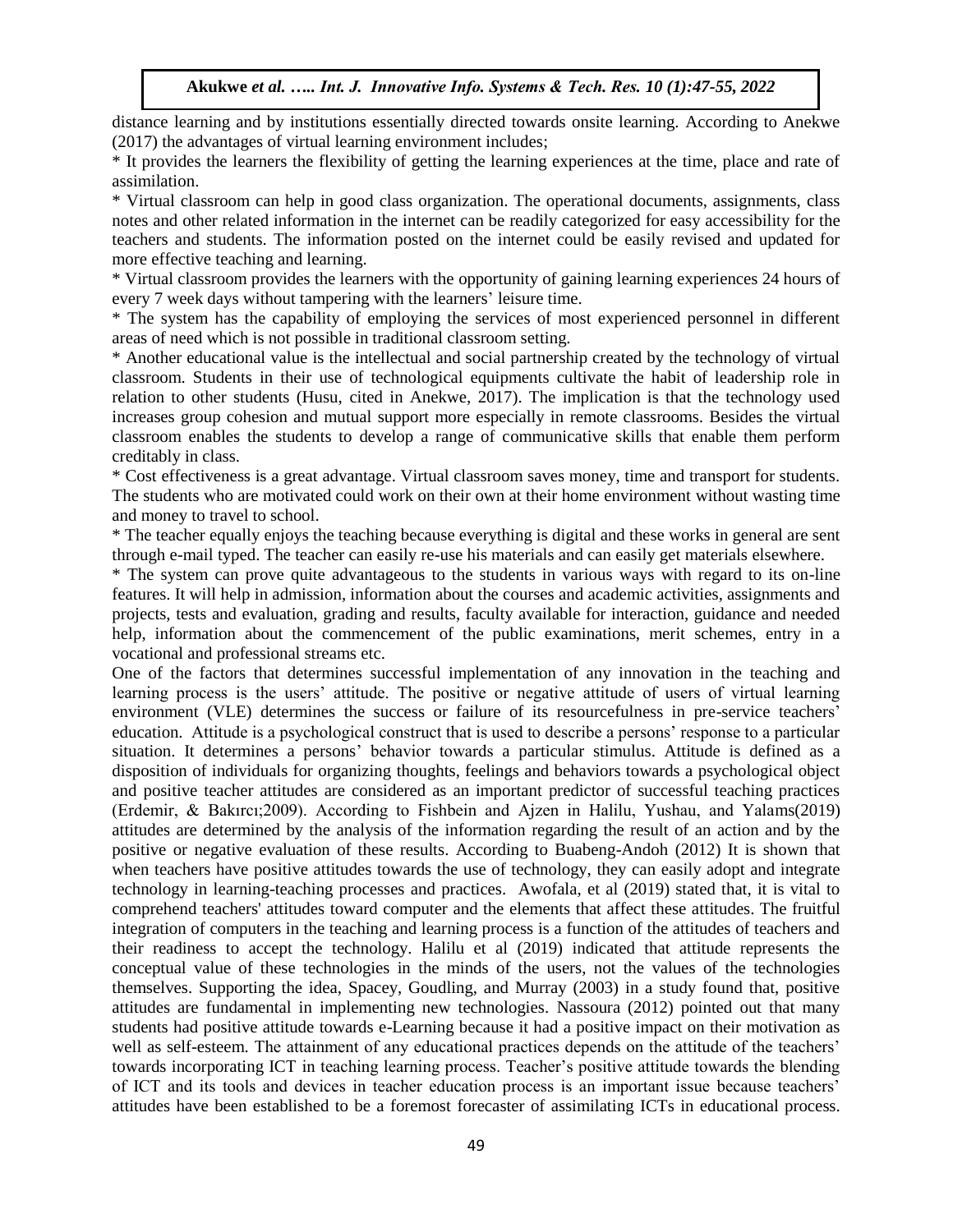distance learning and by institutions essentially directed towards onsite learning. According to Anekwe (2017) the advantages of virtual learning environment includes;

\* It provides the learners the flexibility of getting the learning experiences at the time, place and rate of assimilation.

\* Virtual classroom can help in good class organization. The operational documents, assignments, class notes and other related information in the internet can be readily categorized for easy accessibility for the teachers and students. The information posted on the internet could be easily revised and updated for more effective teaching and learning.

\* Virtual classroom provides the learners with the opportunity of gaining learning experiences 24 hours of every 7 week days without tampering with the learners' leisure time.

\* The system has the capability of employing the services of most experienced personnel in different areas of need which is not possible in traditional classroom setting.

\* Another educational value is the intellectual and social partnership created by the technology of virtual classroom. Students in their use of technological equipments cultivate the habit of leadership role in relation to other students (Husu, cited in Anekwe, 2017). The implication is that the technology used increases group cohesion and mutual support more especially in remote classrooms. Besides the virtual classroom enables the students to develop a range of communicative skills that enable them perform creditably in class.

\* Cost effectiveness is a great advantage. Virtual classroom saves money, time and transport for students. The students who are motivated could work on their own at their home environment without wasting time and money to travel to school.

\* The teacher equally enjoys the teaching because everything is digital and these works in general are sent through e-mail typed. The teacher can easily re-use his materials and can easily get materials elsewhere.

\* The system can prove quite advantageous to the students in various ways with regard to its on-line features. It will help in admission, information about the courses and academic activities, assignments and projects, tests and evaluation, grading and results, faculty available for interaction, guidance and needed help, information about the commencement of the public examinations, merit schemes, entry in a vocational and professional streams etc.

One of the factors that determines successful implementation of any innovation in the teaching and learning process is the users' attitude. The positive or negative attitude of users of virtual learning environment (VLE) determines the success or failure of its resourcefulness in pre-service teachers' education. Attitude is a psychological construct that is used to describe a persons' response to a particular situation. It determines a persons' behavior towards a particular stimulus. Attitude is defined as a disposition of individuals for organizing thoughts, feelings and behaviors towards a psychological object and positive teacher attitudes are considered as an important predictor of successful teaching practices (Erdemir, & Bakırcı;2009). According to Fishbein and Ajzen in Halilu, Yushau, and Yalams(2019) attitudes are determined by the analysis of the information regarding the result of an action and by the positive or negative evaluation of these results. According to Buabeng-Andoh (2012) It is shown that when teachers have positive attitudes towards the use of technology, they can easily adopt and integrate technology in learning-teaching processes and practices. Awofala, et al (2019) stated that, it is vital to comprehend teachers' attitudes toward computer and the elements that affect these attitudes. The fruitful integration of computers in the teaching and learning process is a function of the attitudes of teachers and their readiness to accept the technology. Halilu et al (2019) indicated that attitude represents the conceptual value of these technologies in the minds of the users, not the values of the technologies themselves. Supporting the idea, Spacey, Goudling, and Murray (2003) in a study found that, positive attitudes are fundamental in implementing new technologies. Nassoura (2012) pointed out that many students had positive attitude towards e-Learning because it had a positive impact on their motivation as well as self-esteem. The attainment of any educational practices depends on the attitude of the teachers' towards incorporating ICT in teaching learning process. Teacher's positive attitude towards the blending of ICT and its tools and devices in teacher education process is an important issue because teachers' attitudes have been established to be a foremost forecaster of assimilating ICTs in educational process.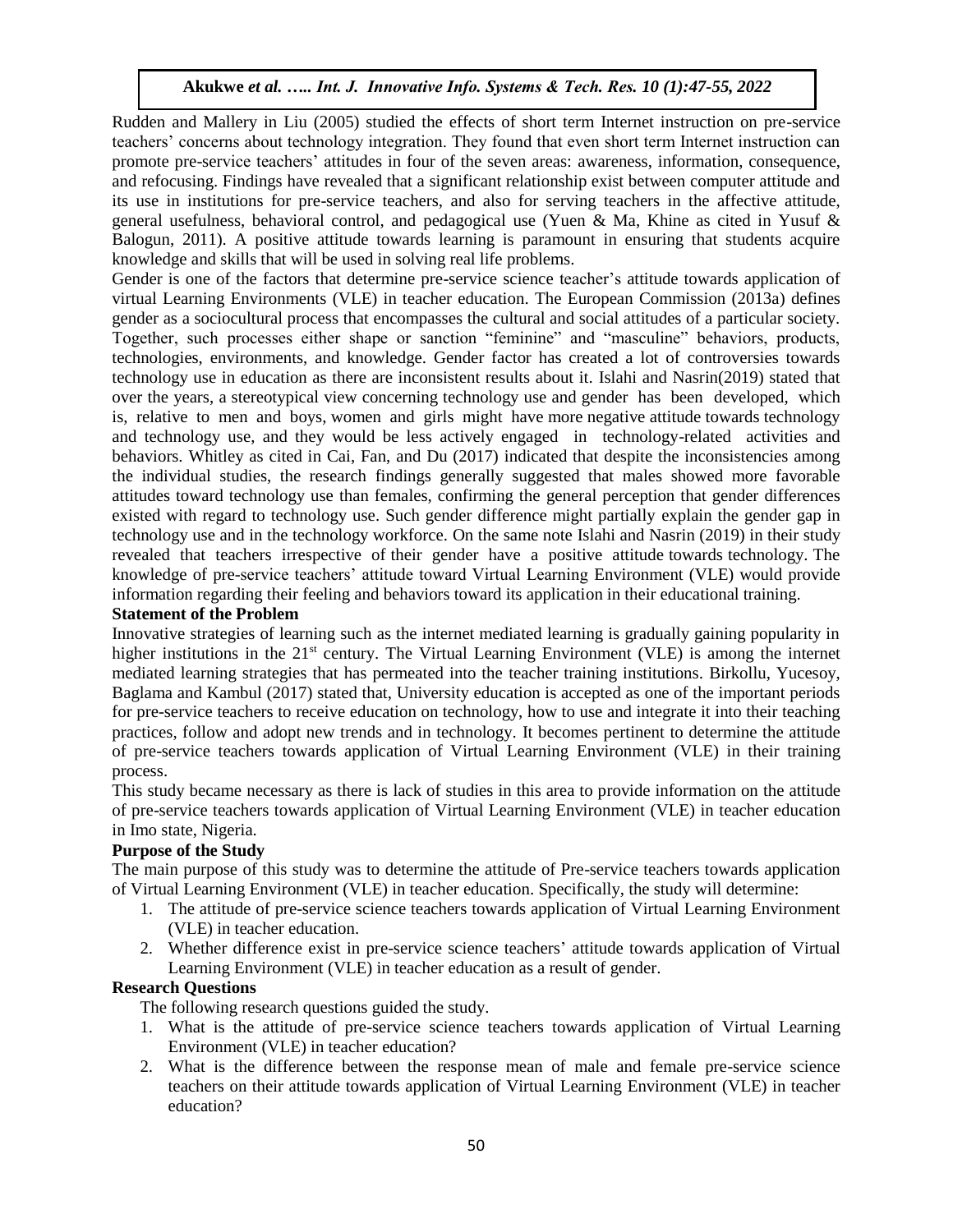Rudden and Mallery in Liu (2005) studied the effects of short term Internet instruction on pre-service teachers' concerns about technology integration. They found that even short term Internet instruction can promote pre-service teachers' attitudes in four of the seven areas: awareness, information, consequence, and refocusing. Findings have revealed that a significant relationship exist between computer attitude and its use in institutions for pre-service teachers, and also for serving teachers in the affective attitude, general usefulness, behavioral control, and pedagogical use (Yuen & Ma, Khine as cited in Yusuf & Balogun, 2011). A positive attitude towards learning is paramount in ensuring that students acquire knowledge and skills that will be used in solving real life problems.

Gender is one of the factors that determine pre-service science teacher's attitude towards application of virtual Learning Environments (VLE) in teacher education. The European Commission (2013a) defines gender as a sociocultural process that encompasses the cultural and social attitudes of a particular society. Together, such processes either shape or sanction "feminine" and "masculine" behaviors, products, technologies, environments, and knowledge. Gender factor has created a lot of controversies towards technology use in education as there are inconsistent results about it. Islahi and Nasrin(2019) stated that over the years, a stereotypical view concerning technology use and gender has been developed, which is, relative to men and boys, women and girls might have more negative attitude towards technology and technology use, and they would be less actively engaged in technology-related activities and behaviors. Whitley as cited in Cai, Fan, and Du (2017) indicated that despite the inconsistencies among the individual studies, the research findings generally suggested that males showed more favorable attitudes toward technology use than females, confirming the general perception that gender differences existed with regard to technology use. Such gender difference might partially explain the gender gap in technology use and in the technology workforce. On the same note Islahi and Nasrin (2019) in their study revealed that teachers irrespective of their gender have a positive attitude towards technology. The knowledge of pre-service teachers' attitude toward Virtual Learning Environment (VLE) would provide information regarding their feeling and behaviors toward its application in their educational training.

## **Statement of the Problem**

Innovative strategies of learning such as the internet mediated learning is gradually gaining popularity in higher institutions in the 21<sup>st</sup> century. The Virtual Learning Environment (VLE) is among the internet mediated learning strategies that has permeated into the teacher training institutions. Birkollu, Yucesoy, Baglama and Kambul (2017) stated that, University education is accepted as one of the important periods for pre-service teachers to receive education on technology, how to use and integrate it into their teaching practices, follow and adopt new trends and in technology. It becomes pertinent to determine the attitude of pre-service teachers towards application of Virtual Learning Environment (VLE) in their training process.

This study became necessary as there is lack of studies in this area to provide information on the attitude of pre-service teachers towards application of Virtual Learning Environment (VLE) in teacher education in Imo state, Nigeria.

## **Purpose of the Study**

The main purpose of this study was to determine the attitude of Pre-service teachers towards application of Virtual Learning Environment (VLE) in teacher education. Specifically, the study will determine:

- 1. The attitude of pre-service science teachers towards application of Virtual Learning Environment (VLE) in teacher education.
- 2. Whether difference exist in pre-service science teachers' attitude towards application of Virtual Learning Environment (VLE) in teacher education as a result of gender.

## **Research Questions**

The following research questions guided the study.

- 1. What is the attitude of pre-service science teachers towards application of Virtual Learning Environment (VLE) in teacher education?
- 2. What is the difference between the response mean of male and female pre-service science teachers on their attitude towards application of Virtual Learning Environment (VLE) in teacher education?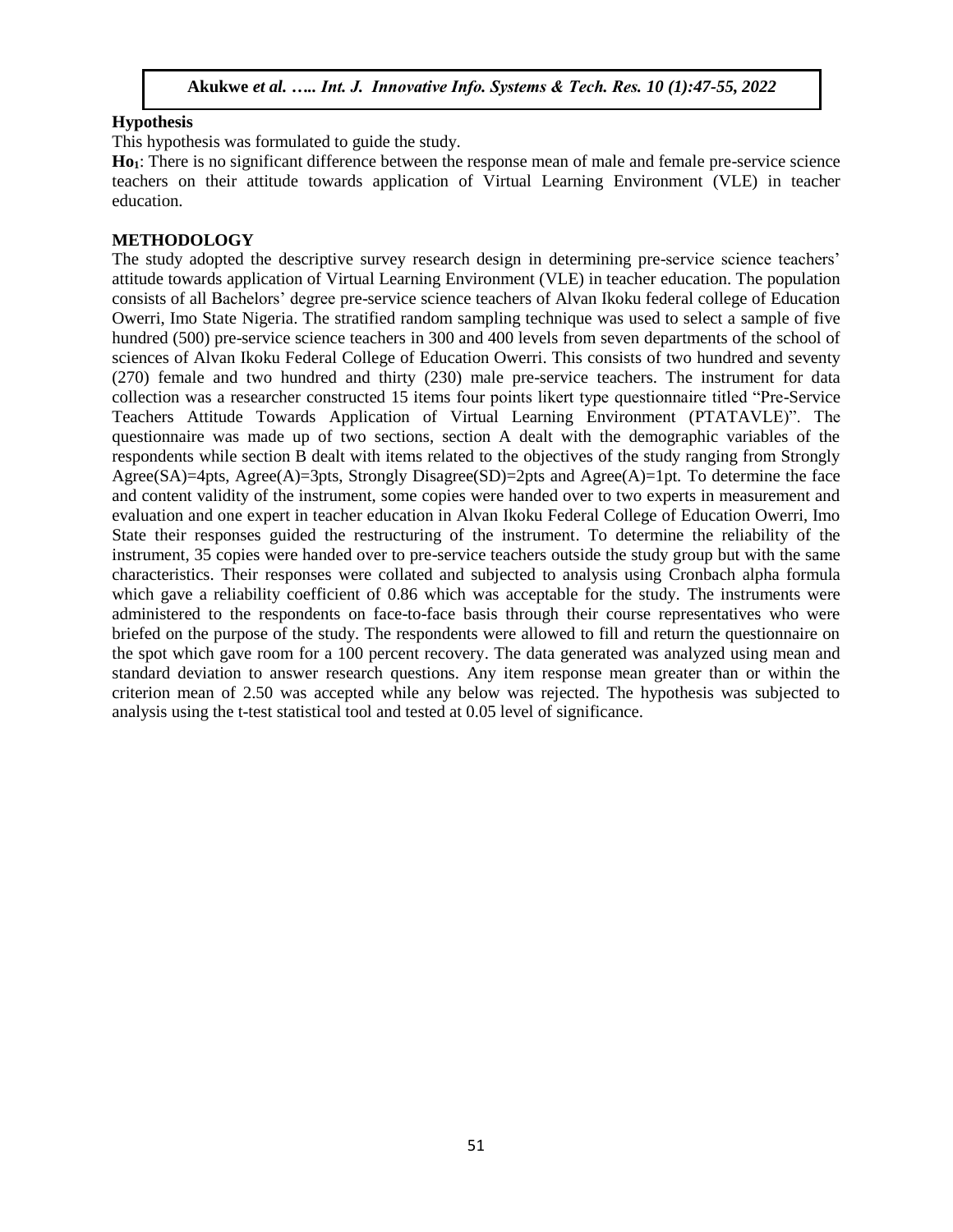## **Hypothesis**

This hypothesis was formulated to guide the study.

**Ho1**: There is no significant difference between the response mean of male and female pre-service science teachers on their attitude towards application of Virtual Learning Environment (VLE) in teacher education.

## **METHODOLOGY**

The study adopted the descriptive survey research design in determining pre-service science teachers' attitude towards application of Virtual Learning Environment (VLE) in teacher education. The population consists of all Bachelors' degree pre-service science teachers of Alvan Ikoku federal college of Education Owerri, Imo State Nigeria. The stratified random sampling technique was used to select a sample of five hundred (500) pre-service science teachers in 300 and 400 levels from seven departments of the school of sciences of Alvan Ikoku Federal College of Education Owerri. This consists of two hundred and seventy (270) female and two hundred and thirty (230) male pre-service teachers. The instrument for data collection was a researcher constructed 15 items four points likert type questionnaire titled "Pre-Service Teachers Attitude Towards Application of Virtual Learning Environment (PTATAVLE)". The questionnaire was made up of two sections, section A dealt with the demographic variables of the respondents while section B dealt with items related to the objectives of the study ranging from Strongly Agree(SA)=4pts, Agree(A)=3pts, Strongly Disagree(SD)=2pts and Agree(A)=1pt. To determine the face and content validity of the instrument, some copies were handed over to two experts in measurement and evaluation and one expert in teacher education in Alvan Ikoku Federal College of Education Owerri, Imo State their responses guided the restructuring of the instrument. To determine the reliability of the instrument, 35 copies were handed over to pre-service teachers outside the study group but with the same characteristics. Their responses were collated and subjected to analysis using Cronbach alpha formula which gave a reliability coefficient of 0.86 which was acceptable for the study. The instruments were administered to the respondents on face-to-face basis through their course representatives who were briefed on the purpose of the study. The respondents were allowed to fill and return the questionnaire on the spot which gave room for a 100 percent recovery. The data generated was analyzed using mean and standard deviation to answer research questions. Any item response mean greater than or within the criterion mean of 2.50 was accepted while any below was rejected. The hypothesis was subjected to analysis using the t-test statistical tool and tested at 0.05 level of significance.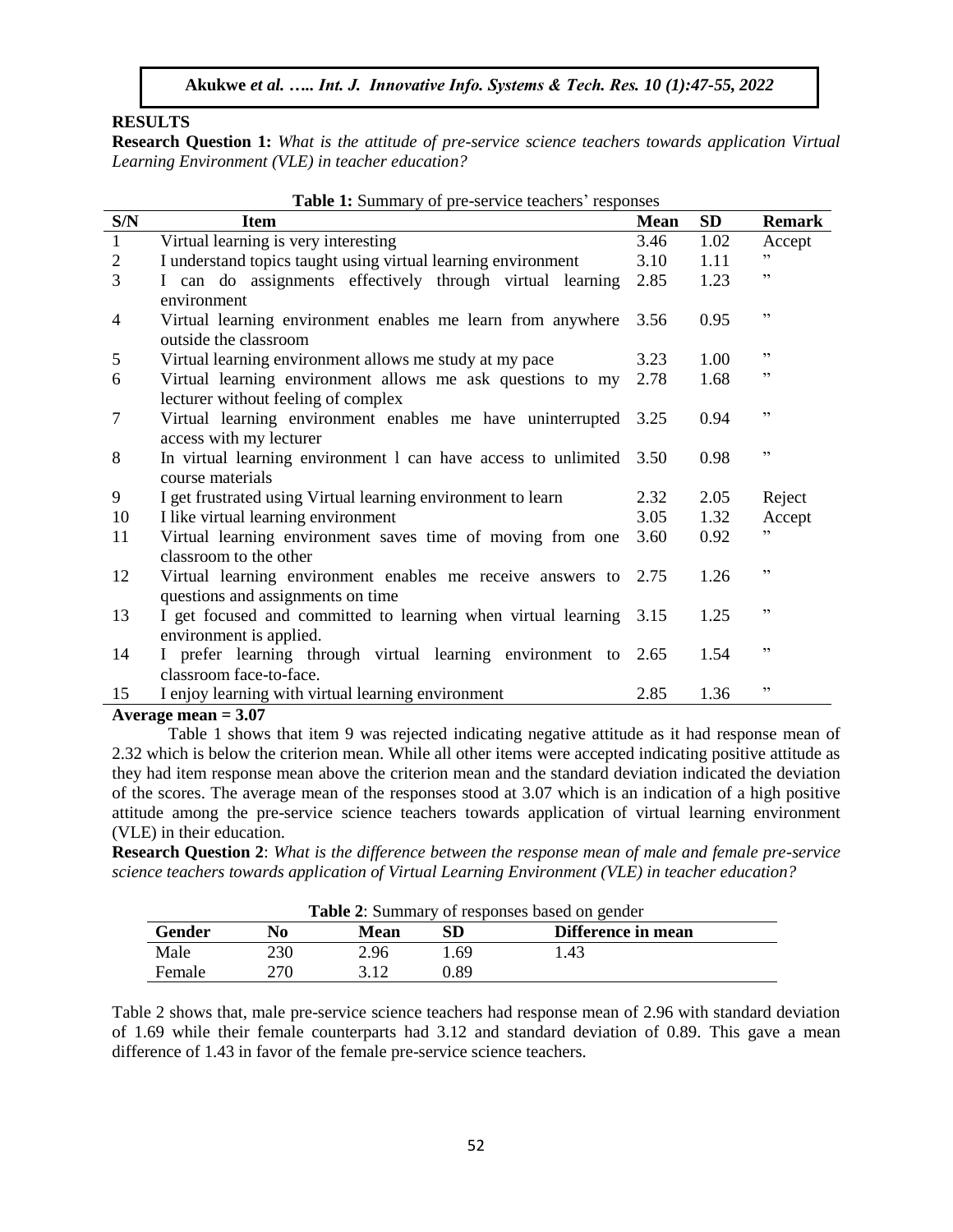## **RESULTS**

**Research Question 1:** *What is the attitude of pre-service science teachers towards application Virtual Learning Environment (VLE) in teacher education?*

| S/N            | $\mathbf{S}$ of $\mathbf{S}$ is the set that is the set $\mathbf{S}$<br><b>Item</b>                 | <b>Mean</b> | <b>SD</b> | <b>Remark</b> |
|----------------|-----------------------------------------------------------------------------------------------------|-------------|-----------|---------------|
| $\mathbf{1}$   | Virtual learning is very interesting                                                                | 3.46        | 1.02      | Accept        |
| $\overline{2}$ | I understand topics taught using virtual learning environment                                       | 3.10        | 1.11      | ,,            |
| 3              | I can do assignments effectively through virtual learning                                           | 2.85        | 1.23      | ,,            |
| $\overline{4}$ | environment<br>Virtual learning environment enables me learn from anywhere<br>outside the classroom | 3.56        | 0.95      | ,,            |
| 5              | Virtual learning environment allows me study at my pace                                             | 3.23        | 1.00      | ,,            |
| 6              | Virtual learning environment allows me ask questions to my<br>lecturer without feeling of complex   | 2.78        | 1.68      | ,,            |
| 7              | Virtual learning environment enables me have uninterrupted<br>access with my lecturer               | 3.25        | 0.94      | ,,            |
| 8              | In virtual learning environment 1 can have access to unlimited<br>course materials                  | 3.50        | 0.98      | ,,            |
| 9              |                                                                                                     | 2.32        | 2.05      |               |
| 10             | I get frustrated using Virtual learning environment to learn<br>I like virtual learning environment | 3.05        | 1.32      | Reject        |
|                |                                                                                                     |             |           | Accept<br>,,  |
| 11             | Virtual learning environment saves time of moving from one<br>classroom to the other                | 3.60        | 0.92      |               |
| 12             | Virtual learning environment enables me receive answers to<br>questions and assignments on time     | 2.75        | 1.26      | ,,            |
| 13             | I get focused and committed to learning when virtual learning<br>environment is applied.            | 3.15        | 1.25      | ,,            |
| 14             | I prefer learning through virtual learning environment to<br>classroom face-to-face.                | 2.65        | 1.54      | ,,            |
| 15             | I enjoy learning with virtual learning environment                                                  | 2.85        | 1.36      | ,,            |

**Table 1:** Summary of pre-service teachers' responses

#### **Average mean = 3.07**

Table 1 shows that item 9 was rejected indicating negative attitude as it had response mean of 2.32 which is below the criterion mean. While all other items were accepted indicating positive attitude as they had item response mean above the criterion mean and the standard deviation indicated the deviation of the scores. The average mean of the responses stood at 3.07 which is an indication of a high positive attitude among the pre-service science teachers towards application of virtual learning environment (VLE) in their education.

**Research Question 2**: *What is the difference between the response mean of male and female pre-service science teachers towards application of Virtual Learning Environment (VLE) in teacher education?*

|        |     |      |      | <b>Table 2:</b> Summary of responses based on gender |  |
|--------|-----|------|------|------------------------------------------------------|--|
| Gender | No  | Mean | SD   | Difference in mean                                   |  |
| Male   | 230 | 2.96 | l 69 | 1.43                                                 |  |
| Female | 270 |      | ገ Ջዓ |                                                      |  |

Table 2 shows that, male pre-service science teachers had response mean of 2.96 with standard deviation of 1.69 while their female counterparts had 3.12 and standard deviation of 0.89. This gave a mean difference of 1.43 in favor of the female pre-service science teachers.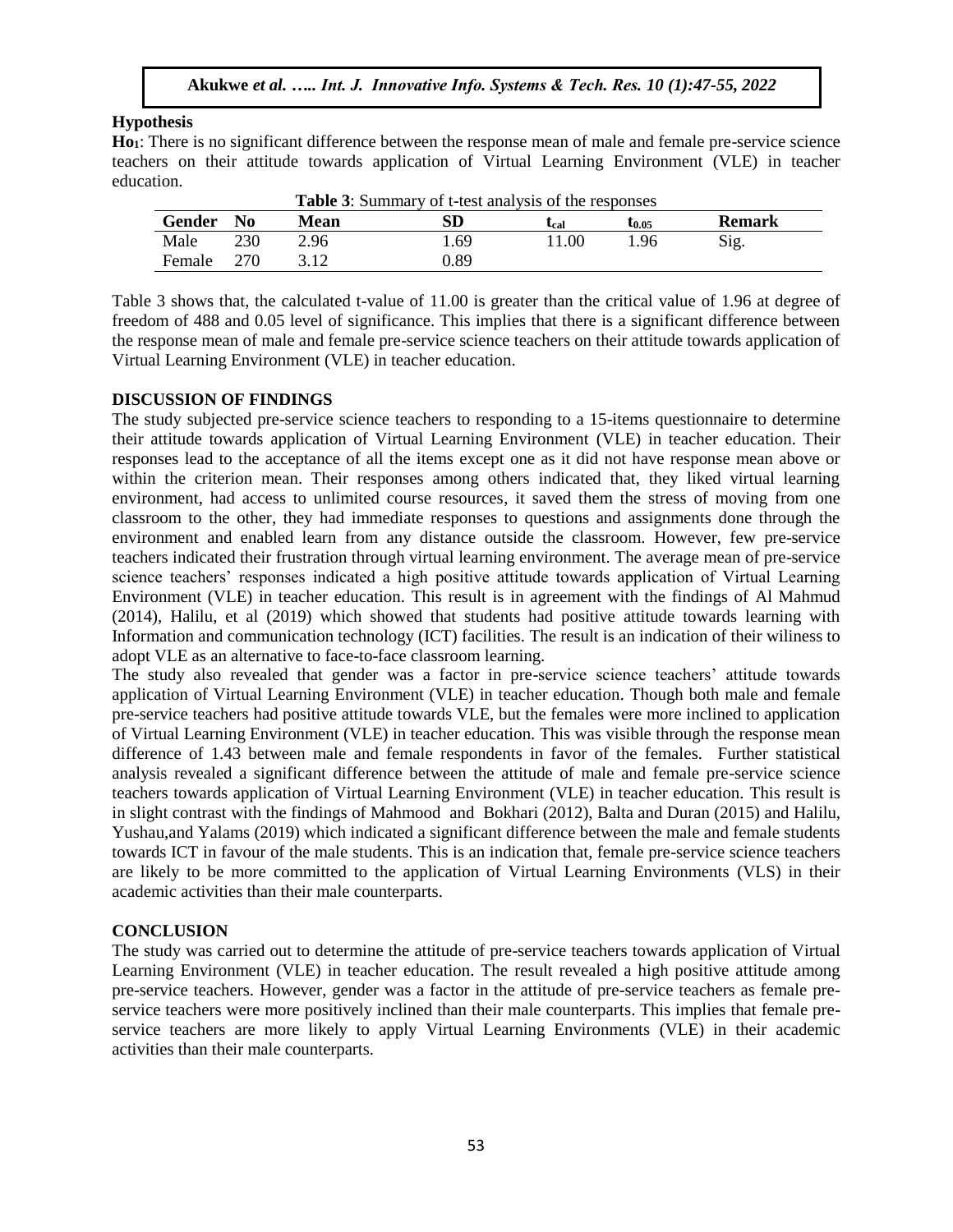## **Hypothesis**

**Ho1**: There is no significant difference between the response mean of male and female pre-service science teachers on their attitude towards application of Virtual Learning Environment (VLE) in teacher education.

|               |                |      | <b>Lable 3:</b> Summary of t-test analysis of the responses |                           |        |               |
|---------------|----------------|------|-------------------------------------------------------------|---------------------------|--------|---------------|
| <b>Gender</b> | N <sub>0</sub> | Mean | SD                                                          | $\mathbf{L}_{\text{cal}}$ | Եք. 05 | <b>Remark</b> |
| Male          | 230            | 2.96 | . 69                                                        | 1.00                      | .96    | Sig.          |
| Female        | 270            |      | ).89                                                        |                           |        |               |

| <b>Table 3:</b> Summary of t-test analysis of the responses |
|-------------------------------------------------------------|
|-------------------------------------------------------------|

Table 3 shows that, the calculated t-value of 11.00 is greater than the critical value of 1.96 at degree of freedom of 488 and 0.05 level of significance. This implies that there is a significant difference between the response mean of male and female pre-service science teachers on their attitude towards application of Virtual Learning Environment (VLE) in teacher education.

#### **DISCUSSION OF FINDINGS**

The study subjected pre-service science teachers to responding to a 15-items questionnaire to determine their attitude towards application of Virtual Learning Environment (VLE) in teacher education. Their responses lead to the acceptance of all the items except one as it did not have response mean above or within the criterion mean. Their responses among others indicated that, they liked virtual learning environment, had access to unlimited course resources, it saved them the stress of moving from one classroom to the other, they had immediate responses to questions and assignments done through the environment and enabled learn from any distance outside the classroom. However, few pre-service teachers indicated their frustration through virtual learning environment. The average mean of pre-service science teachers' responses indicated a high positive attitude towards application of Virtual Learning Environment (VLE) in teacher education. This result is in agreement with the findings of Al Mahmud (2014), Halilu, et al (2019) which showed that students had positive attitude towards learning with Information and communication technology (ICT) facilities. The result is an indication of their wiliness to adopt VLE as an alternative to face-to-face classroom learning.

The study also revealed that gender was a factor in pre-service science teachers' attitude towards application of Virtual Learning Environment (VLE) in teacher education. Though both male and female pre-service teachers had positive attitude towards VLE, but the females were more inclined to application of Virtual Learning Environment (VLE) in teacher education. This was visible through the response mean difference of 1.43 between male and female respondents in favor of the females. Further statistical analysis revealed a significant difference between the attitude of male and female pre-service science teachers towards application of Virtual Learning Environment (VLE) in teacher education. This result is in slight contrast with the findings of Mahmood and Bokhari (2012), Balta and Duran (2015) and Halilu, Yushau,and Yalams (2019) which indicated a significant difference between the male and female students towards ICT in favour of the male students. This is an indication that, female pre-service science teachers are likely to be more committed to the application of Virtual Learning Environments (VLS) in their academic activities than their male counterparts.

#### **CONCLUSION**

The study was carried out to determine the attitude of pre-service teachers towards application of Virtual Learning Environment (VLE) in teacher education. The result revealed a high positive attitude among pre-service teachers. However, gender was a factor in the attitude of pre-service teachers as female preservice teachers were more positively inclined than their male counterparts. This implies that female preservice teachers are more likely to apply Virtual Learning Environments (VLE) in their academic activities than their male counterparts.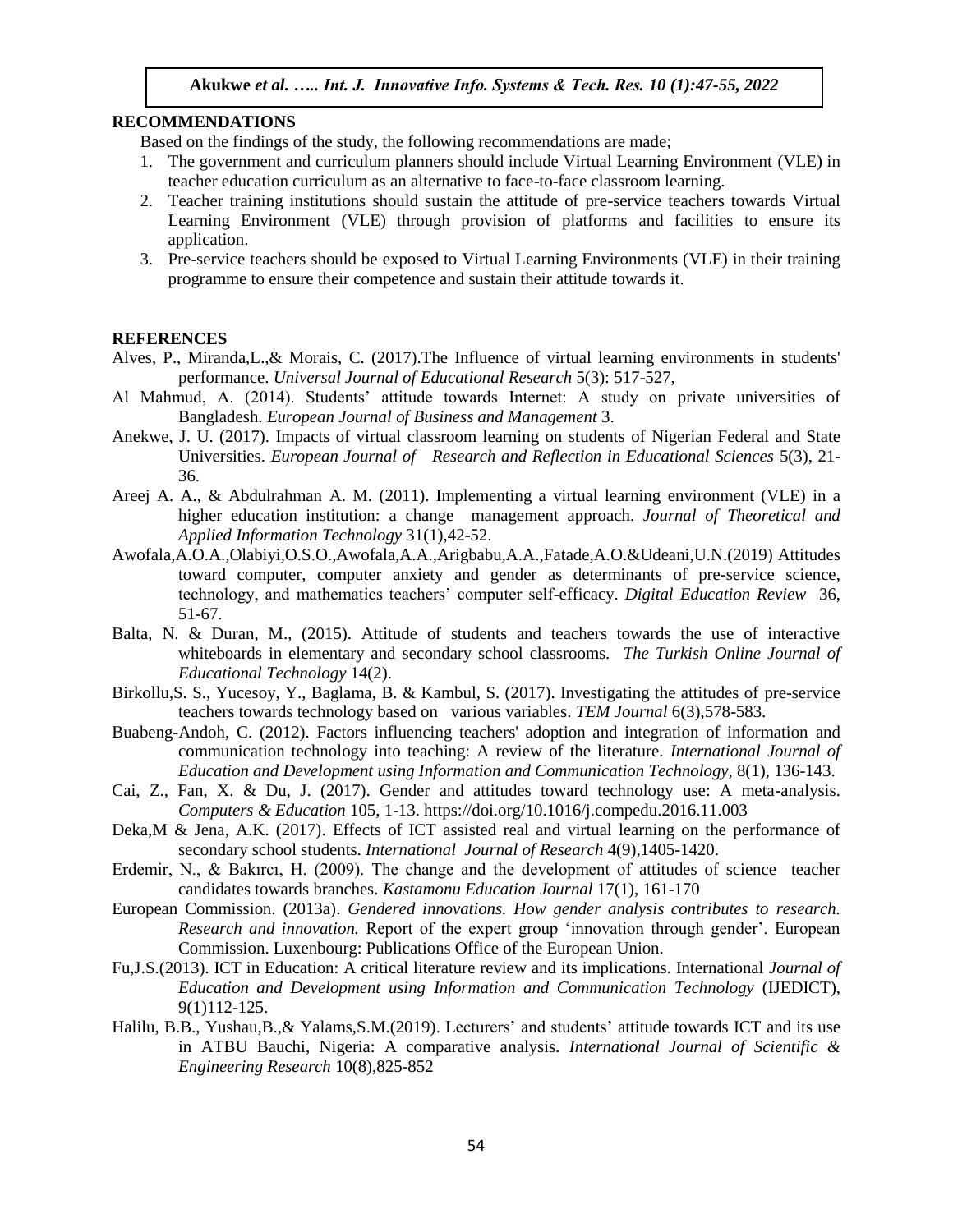#### **RECOMMENDATIONS**

Based on the findings of the study, the following recommendations are made;

- 1. The government and curriculum planners should include Virtual Learning Environment (VLE) in teacher education curriculum as an alternative to face-to-face classroom learning.
- 2. Teacher training institutions should sustain the attitude of pre-service teachers towards Virtual Learning Environment (VLE) through provision of platforms and facilities to ensure its application.
- 3. Pre-service teachers should be exposed to Virtual Learning Environments (VLE) in their training programme to ensure their competence and sustain their attitude towards it.

#### **REFERENCES**

- Alves, P., Miranda,L.,& Morais, C. (2017).The Influence of virtual learning environments in students' performance. *Universal Journal of Educational Research* 5(3): 517-527,
- Al Mahmud, A. (2014). Students' attitude towards Internet: A study on private universities of Bangladesh. *European Journal of Business and Management* 3.
- Anekwe, J. U. (2017). Impacts of virtual classroom learning on students of Nigerian Federal and State Universities. *European Journal of Research and Reflection in Educational Sciences* 5(3), 21- 36.
- Areej A. A., & Abdulrahman A. M. (2011). Implementing a virtual learning environment (VLE) in a higher education institution: a change management approach. *Journal of Theoretical and Applied Information Technology* 31(1),42-52.
- Awofala,A.O.A.,Olabiyi,O.S.O.,Awofala,A.A.,Arigbabu,A.A.,Fatade,A.O.&Udeani,U.N.(2019) Attitudes toward computer, computer anxiety and gender as determinants of pre-service science, technology, and mathematics teachers' computer self-efficacy. *Digital Education Review* 36, 51-67.
- Balta, N. & Duran, M., (2015). Attitude of students and teachers towards the use of interactive whiteboards in elementary and secondary school classrooms. *The Turkish Online Journal of Educational Technology* 14(2).
- Birkollu,S. S., Yucesoy, Y., Baglama, B. & Kambul, S. (2017). Investigating the attitudes of pre-service teachers towards technology based on various variables. *TEM Journal* 6(3),578-583.
- Buabeng-Andoh, C. (2012). Factors influencing teachers' adoption and integration of information and communication technology into teaching: A review of the literature. *International Journal of Education and Development using Information and Communication Technology,* 8(1), 136-143.
- Cai, Z., Fan, X. & Du, J. (2017). Gender and attitudes toward technology use: A meta-analysis. *Computers & Education* 105, 1-13. https://doi.org/10.1016/j.compedu.2016.11.003
- Deka,M & Jena, A.K. (2017). Effects of ICT assisted real and virtual learning on the performance of secondary school students. *International Journal of Research* 4(9),1405-1420.
- Erdemir, N., & Bakırcı, H. (2009). The change and the development of attitudes of science teacher candidates towards branches. *Kastamonu Education Journal* 17(1), 161-170
- European Commission. (2013a). *Gendered innovations. How gender analysis contributes to research. Research and innovation.* Report of the expert group 'innovation through gender'. European Commission. Luxenbourg: Publications Office of the European Union.
- Fu,J.S.(2013). ICT in Education: A critical literature review and its implications. International *Journal of Education and Development using Information and Communication Technology* (IJEDICT), 9(1)112-125.
- Halilu, B.B., Yushau,B.,& Yalams,S.M.(2019). Lecturers' and students' attitude towards ICT and its use in ATBU Bauchi, Nigeria: A comparative analysis. *International Journal of Scientific & Engineering Research* 10(8),825-852